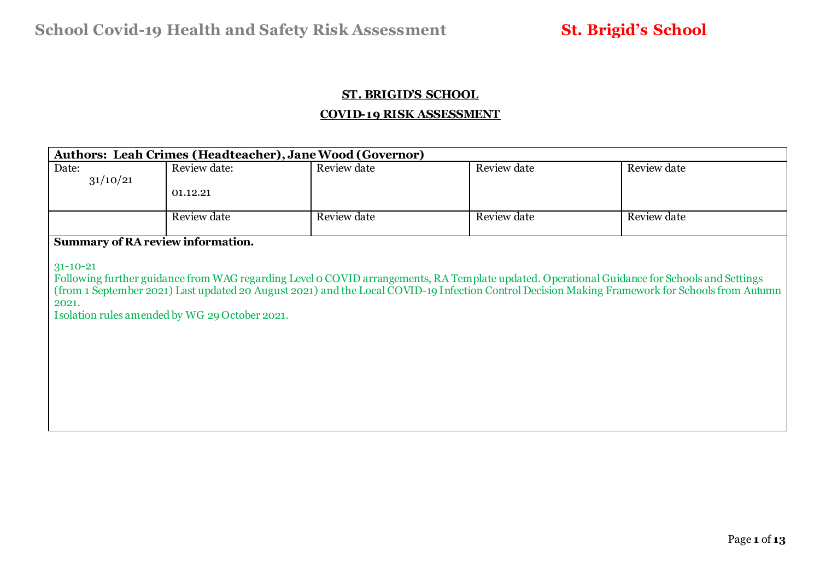### **ST. BRIGID'S SCHOOL**

### **COVID-19 RISK ASSESSMENT**

| <b>Authors: Leah Crimes (Headteacher), Jane Wood (Governor)</b>     |                                                |                                                                                                                                              |             |                                                                                                                                                 |  |  |  |  |  |  |  |  |
|---------------------------------------------------------------------|------------------------------------------------|----------------------------------------------------------------------------------------------------------------------------------------------|-------------|-------------------------------------------------------------------------------------------------------------------------------------------------|--|--|--|--|--|--|--|--|
| Date:<br>31/10/21                                                   | Review date:                                   | Review date                                                                                                                                  | Review date | Review date                                                                                                                                     |  |  |  |  |  |  |  |  |
|                                                                     | 01.12.21                                       |                                                                                                                                              |             |                                                                                                                                                 |  |  |  |  |  |  |  |  |
|                                                                     | Review date                                    | Review date                                                                                                                                  | Review date | Review date                                                                                                                                     |  |  |  |  |  |  |  |  |
| <b>Summary of RA review information.</b><br>$31 - 10 - 21$<br>2021. | Isolation rules amended by WG 29 October 2021. | Following further guidance from WAG regarding Level o COVID arrangements, RA Template updated. Operational Guidance for Schools and Settings |             | (from 1 September 2021) Last updated 20 August 2021) and the Local COVID-19 Infection Control Decision Making Framework for Schools from Autumn |  |  |  |  |  |  |  |  |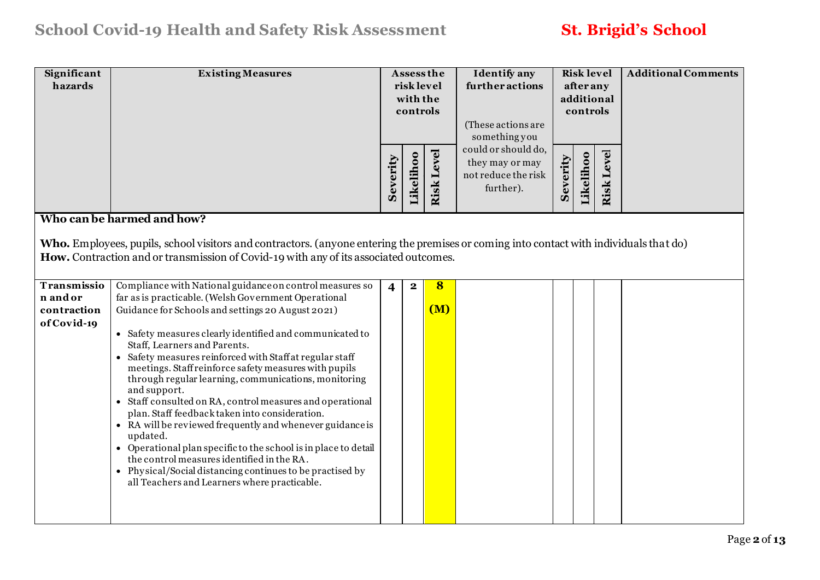| Significant<br>hazards  | <b>Existing Measures</b>                                                                                                                                                                                                         |                         | <b>Assess the</b><br>risk level<br>with the<br>controls |                   | <b>Identify</b> any<br>further actions<br>(These actions are<br>something you |          | <b>Risk level</b><br>afterany<br>controls | additional        | <b>Additional Comments</b> |
|-------------------------|----------------------------------------------------------------------------------------------------------------------------------------------------------------------------------------------------------------------------------|-------------------------|---------------------------------------------------------|-------------------|-------------------------------------------------------------------------------|----------|-------------------------------------------|-------------------|----------------------------|
|                         |                                                                                                                                                                                                                                  | Severity                | Likelihoo                                               | <b>Risk Level</b> | could or should do,<br>they may or may<br>not reduce the risk<br>further).    | Severity | Likelihoo                                 | <b>Risk Level</b> |                            |
|                         | Who can be harmed and how?                                                                                                                                                                                                       |                         |                                                         |                   |                                                                               |          |                                           |                   |                            |
|                         | Who. Employees, pupils, school visitors and contractors. (anyone entering the premises or coming into contact with individuals that do)<br>How. Contraction and or transmission of Covid-19 with any of its associated outcomes. |                         |                                                         |                   |                                                                               |          |                                           |                   |                            |
| Transmissio<br>n and or | Compliance with National guidance on control measures so<br>far as is practicable. (Welsh Government Operational                                                                                                                 | $\overline{\mathbf{4}}$ | $\mathbf{2}$                                            | $\bf{8}$          |                                                                               |          |                                           |                   |                            |
| contraction             | Guidance for Schools and settings 20 August 2021)                                                                                                                                                                                |                         |                                                         | (M)               |                                                                               |          |                                           |                   |                            |
| of Covid-19             |                                                                                                                                                                                                                                  |                         |                                                         |                   |                                                                               |          |                                           |                   |                            |
|                         | • Safety measures clearly identified and communicated to<br>Staff, Learners and Parents.                                                                                                                                         |                         |                                                         |                   |                                                                               |          |                                           |                   |                            |
|                         | • Safety measures reinforced with Staff at regular staff<br>meetings. Staff reinforce safety measures with pupils<br>through regular learning, communications, monitoring<br>and support.                                        |                         |                                                         |                   |                                                                               |          |                                           |                   |                            |
|                         | • Staff consulted on RA, control measures and operational<br>plan. Staff feedback taken into consideration.<br>• RA will be reviewed frequently and whenever guidance is                                                         |                         |                                                         |                   |                                                                               |          |                                           |                   |                            |
|                         | updated.                                                                                                                                                                                                                         |                         |                                                         |                   |                                                                               |          |                                           |                   |                            |
|                         | • Operational plan specific to the school is in place to detail<br>the control measures identified in the RA.                                                                                                                    |                         |                                                         |                   |                                                                               |          |                                           |                   |                            |
|                         | • Physical/Social distancing continues to be practised by<br>all Teachers and Learners where practicable.                                                                                                                        |                         |                                                         |                   |                                                                               |          |                                           |                   |                            |
|                         |                                                                                                                                                                                                                                  |                         |                                                         |                   |                                                                               |          |                                           |                   |                            |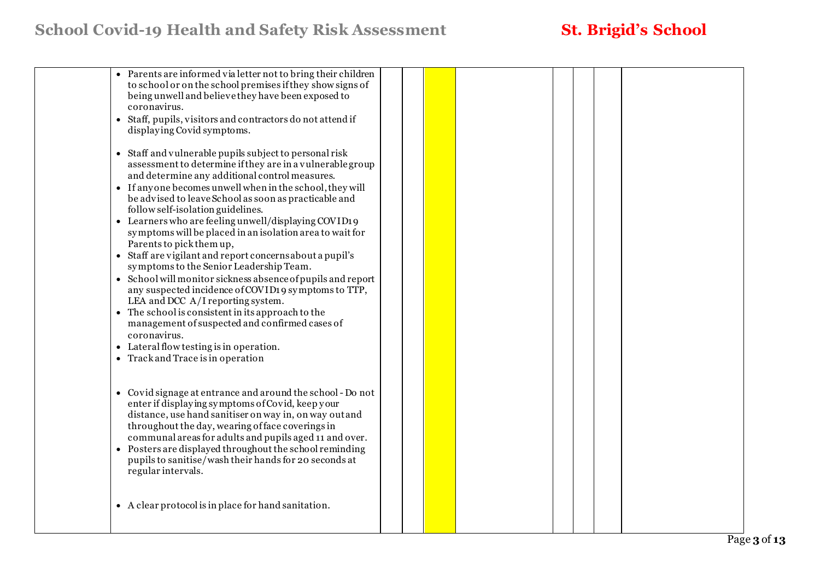# **School Covid-19 Health and Safety Risk Assessment St. Brigid's School**

| • Parents are informed via letter not to bring their children<br>to school or on the school premises if they show signs of<br>being unwell and believe they have been exposed to<br>coronavirus.<br>• Staff, pupils, visitors and contractors do not attend if<br>displaying Covid symptoms.<br>• Staff and vulnerable pupils subject to personal risk<br>assessment to determine if they are in a vulnerable group<br>and determine any additional control measures.<br>• If anyone becomes unwell when in the school, they will<br>be advised to leave School as soon as practicable and<br>follow self-isolation guidelines.<br>• Learners who are feeling unwell/displaying COVID19<br>symptoms will be placed in an isolation area to wait for<br>Parents to pick them up,<br>• Staff are vigilant and report concerns about a pupil's<br>symptoms to the Senior Leadership Team.<br>• School will monitor sickness absence of pupils and report<br>any suspected incidence of COVID19 symptoms to TTP,<br>LEA and DCC A/I reporting system.<br>• The school is consistent in its approach to the<br>management of suspected and confirmed cases of<br>coronavirus.<br>• Lateral flow testing is in operation.<br>• Track and Trace is in operation |  |  |  |  |  |
|----------------------------------------------------------------------------------------------------------------------------------------------------------------------------------------------------------------------------------------------------------------------------------------------------------------------------------------------------------------------------------------------------------------------------------------------------------------------------------------------------------------------------------------------------------------------------------------------------------------------------------------------------------------------------------------------------------------------------------------------------------------------------------------------------------------------------------------------------------------------------------------------------------------------------------------------------------------------------------------------------------------------------------------------------------------------------------------------------------------------------------------------------------------------------------------------------------------------------------------------------------|--|--|--|--|--|
| • Covid signage at entrance and around the school - Do not<br>enter if displaying symptoms of Covid, keep your<br>distance, use hand sanitiser on way in, on way out and<br>throughout the day, wearing of face coverings in<br>communal areas for adults and pupils aged 11 and over.<br>• Posters are displayed throughout the school reminding<br>pupils to sanitise/wash their hands for 20 seconds at<br>regular intervals.                                                                                                                                                                                                                                                                                                                                                                                                                                                                                                                                                                                                                                                                                                                                                                                                                         |  |  |  |  |  |
| • A clear protocol is in place for hand sanitation.                                                                                                                                                                                                                                                                                                                                                                                                                                                                                                                                                                                                                                                                                                                                                                                                                                                                                                                                                                                                                                                                                                                                                                                                      |  |  |  |  |  |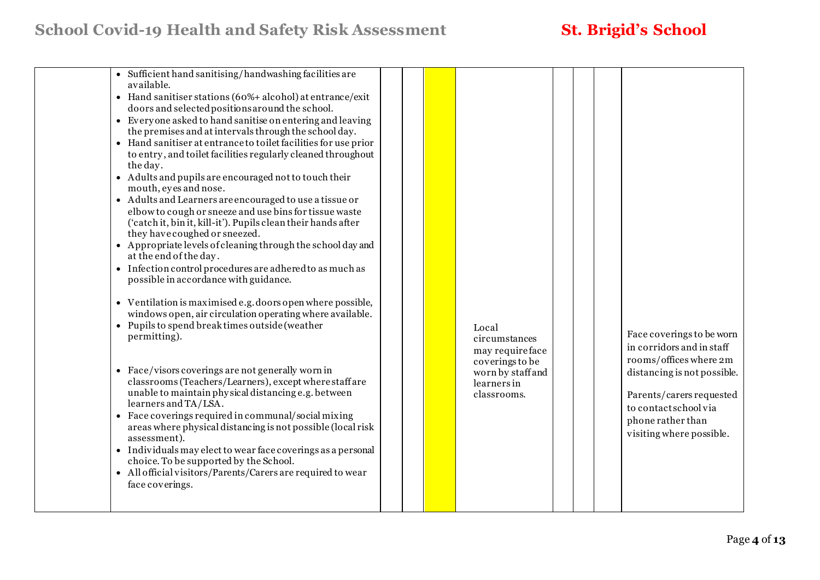|  | • Sufficient hand sanitising/handwashing facilities are<br>available.<br>• Hand sanitiser stations (60%+ alcohol) at entrance/exit<br>doors and selected positions around the school.<br>• Everyone asked to hand sanitise on entering and leaving<br>the premises and at intervals through the school day.<br>• Hand sanitiser at entrance to toilet facilities for use prior<br>to entry, and toilet facilities regularly cleaned throughout<br>the day.<br>• Adults and pupils are encouraged not to touch their<br>mouth, eyes and nose.<br>• Adults and Learners are encouraged to use a tissue or<br>elbow to cough or sneeze and use bins for tissue waste<br>('catch it, bin it, kill-it'). Pupils clean their hands after<br>they have coughed or sneezed.<br>• Appropriate levels of cleaning through the school day and<br>at the end of the day.<br>• Infection control procedures are adhered to as much as<br>possible in accordance with guidance.<br>• Ventilation is maximised e.g. doors open where possible,<br>windows open, air circulation operating where available.<br>• Pupils to spend break times outside (weather<br>permitting).<br>• Face/visors coverings are not generally worn in<br>classrooms (Teachers/Learners), except where staff are<br>unable to maintain physical distancing e.g. between<br>learners and TA/LSA.<br>• Face coverings required in communal/social mixing<br>areas where physical distancing is not possible (local risk<br>assessment).<br>• Individuals may elect to wear face coverings as a personal<br>choice. To be supported by the School.<br>• All official visitors/Parents/Carers are required to wear<br>face coverings. |  |  |  | Local<br>circumstances<br>may requireface<br>coverings to be<br>worn by staff and<br>learners in<br>classrooms. |  |  | Face coverings to be worn<br>in corridors and in staff<br>rooms/offices where 2m<br>distancing is not possible.<br>Parents/carers requested<br>to contactschool via<br>phone rather than<br>visiting where possible. |
|--|-----------------------------------------------------------------------------------------------------------------------------------------------------------------------------------------------------------------------------------------------------------------------------------------------------------------------------------------------------------------------------------------------------------------------------------------------------------------------------------------------------------------------------------------------------------------------------------------------------------------------------------------------------------------------------------------------------------------------------------------------------------------------------------------------------------------------------------------------------------------------------------------------------------------------------------------------------------------------------------------------------------------------------------------------------------------------------------------------------------------------------------------------------------------------------------------------------------------------------------------------------------------------------------------------------------------------------------------------------------------------------------------------------------------------------------------------------------------------------------------------------------------------------------------------------------------------------------------------------------------------------------------------------------------------------------------------|--|--|--|-----------------------------------------------------------------------------------------------------------------|--|--|----------------------------------------------------------------------------------------------------------------------------------------------------------------------------------------------------------------------|
|--|-----------------------------------------------------------------------------------------------------------------------------------------------------------------------------------------------------------------------------------------------------------------------------------------------------------------------------------------------------------------------------------------------------------------------------------------------------------------------------------------------------------------------------------------------------------------------------------------------------------------------------------------------------------------------------------------------------------------------------------------------------------------------------------------------------------------------------------------------------------------------------------------------------------------------------------------------------------------------------------------------------------------------------------------------------------------------------------------------------------------------------------------------------------------------------------------------------------------------------------------------------------------------------------------------------------------------------------------------------------------------------------------------------------------------------------------------------------------------------------------------------------------------------------------------------------------------------------------------------------------------------------------------------------------------------------------------|--|--|--|-----------------------------------------------------------------------------------------------------------------|--|--|----------------------------------------------------------------------------------------------------------------------------------------------------------------------------------------------------------------------|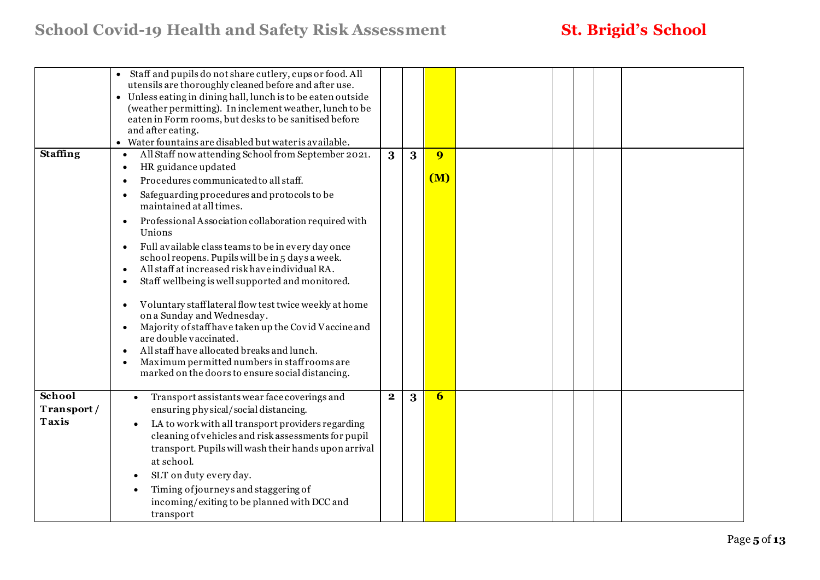|                                      | Staff and pupils do not share cutlery, cups or food. All<br>utensils are thoroughly cleaned before and after use.<br>• Unless eating in dining hall, lunch is to be eaten outside<br>(weather permitting). In inclement weather, lunch to be<br>eaten in Form rooms, but desks to be sanitised before<br>and after eating.<br>• Water fountains are disabled but water is available.                                                                                                                                                                                                                                                                                                                                                                                                                                                                 |              |   |                       |  |  |
|--------------------------------------|------------------------------------------------------------------------------------------------------------------------------------------------------------------------------------------------------------------------------------------------------------------------------------------------------------------------------------------------------------------------------------------------------------------------------------------------------------------------------------------------------------------------------------------------------------------------------------------------------------------------------------------------------------------------------------------------------------------------------------------------------------------------------------------------------------------------------------------------------|--------------|---|-----------------------|--|--|
| <b>Staffing</b>                      | All Staff now attending School from September 2021.<br>$\bullet$<br>HR guidance updated<br>$\bullet$<br>Procedures communicated to all staff.<br>Safeguarding procedures and protocols to be<br>maintained at all times.<br>Professional Association collaboration required with<br>Unions<br>Full available class teams to be in every day once<br>school reopens. Pupils will be in 5 days a week.<br>All staff at increased risk have individual RA.<br>Staff wellbeing is well supported and monitored.<br>Voluntary stafflateral flow test twice weekly at home<br>on a Sunday and Wednesday.<br>Majority of staff have taken up the Covid Vaccine and<br>$\bullet$<br>are double vaccinated.<br>All staff have allocated breaks and lunch.<br>Maximum permitted numbers in staff rooms are<br>marked on the doors to ensure social distancing. | 3            | 3 | $\overline{9}$<br>(M) |  |  |
| School<br>Transport/<br><b>Taxis</b> | Transport assistants wear face coverings and<br>ensuring physical/social distancing.<br>LA to work with all transport providers regarding<br>cleaning of vehicles and risk assessments for pupil<br>transport. Pupils will wash their hands upon arrival<br>at school.<br>SLT on duty every day.<br>Timing of journeys and staggering of<br>incoming/exiting to be planned with DCC and<br>transport                                                                                                                                                                                                                                                                                                                                                                                                                                                 | $\mathbf{2}$ | 3 | $6\overline{6}$       |  |  |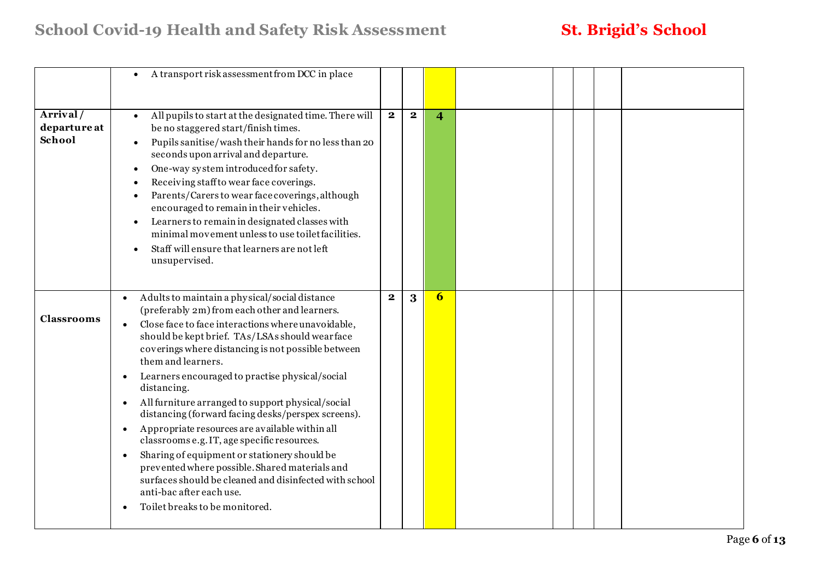|                                    | A transport risk assessment from DCC in place<br>$\bullet$                                                                                                                                                                                                                                                                                                                                                                                                                                                                                                                                                                                                                                                                                                                                                                                     |              |              |                         |  |  |  |
|------------------------------------|------------------------------------------------------------------------------------------------------------------------------------------------------------------------------------------------------------------------------------------------------------------------------------------------------------------------------------------------------------------------------------------------------------------------------------------------------------------------------------------------------------------------------------------------------------------------------------------------------------------------------------------------------------------------------------------------------------------------------------------------------------------------------------------------------------------------------------------------|--------------|--------------|-------------------------|--|--|--|
| Arrival/<br>departure at<br>School | All pupils to start at the designated time. There will<br>be no staggered start/finish times.<br>Pupils sanitise/wash their hands for no less than 20<br>$\bullet$<br>seconds upon arrival and departure.<br>One-way system introduced for safety.<br>Receiving staff to wear face coverings.<br>Parents/Carers to wear face coverings, although<br>encouraged to remain in their vehicles.<br>Learners to remain in designated classes with<br>$\bullet$<br>minimal movement unless to use toilet facilities.<br>Staff will ensure that learners are not left<br>unsupervised.                                                                                                                                                                                                                                                                | $\mathbf{2}$ | $\mathbf{2}$ | $\overline{\mathbf{4}}$ |  |  |  |
| <b>Classrooms</b>                  | Adults to maintain a physical/social distance<br>(preferably 2m) from each other and learners.<br>Close face to face interactions where unavoidable,<br>$\bullet$<br>should be kept brief. TAs/LSAs should wearface<br>coverings where distancing is not possible between<br>them and learners.<br>Learners encouraged to practise physical/social<br>$\bullet$<br>distancing.<br>All furniture arranged to support physical/social<br>$\bullet$<br>distancing (forward facing desks/perspex screens).<br>Appropriate resources are available within all<br>$\bullet$<br>classrooms e.g. IT, age specific resources.<br>Sharing of equipment or stationery should be<br>prevented where possible. Shared materials and<br>surfaces should be cleaned and disinfected with school<br>anti-bac after each use.<br>Toilet breaks to be monitored. | $\mathbf{2}$ | $\bf{3}$     | 6                       |  |  |  |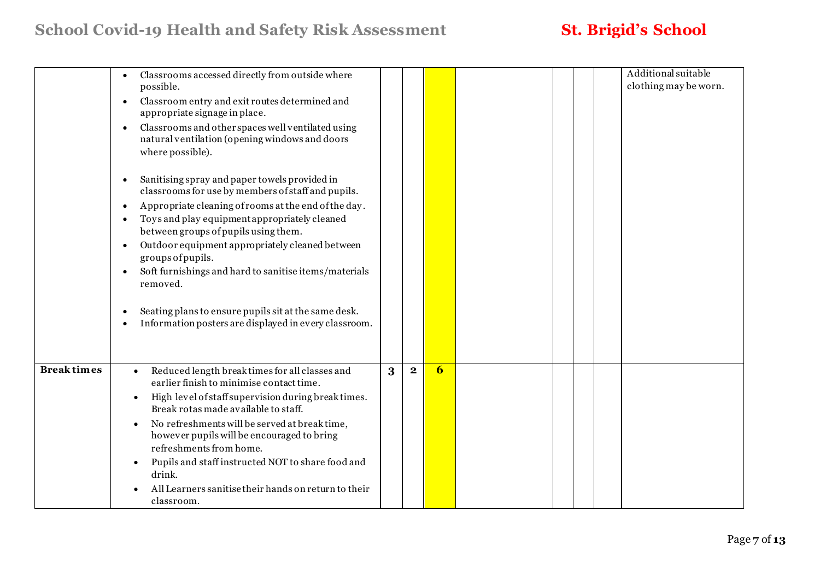## **School Covid-19 Health and Safety Risk Assessment St. Brigid's School**

|                   | Classrooms accessed directly from outside where<br>possible.<br>Classroom entry and exit routes determined and<br>$\bullet$<br>appropriate signage in place.<br>Classrooms and other spaces well ventilated using<br>$\bullet$<br>natural ventilation (opening windows and doors<br>where possible).<br>Sanitising spray and paper towels provided in<br>$\bullet$<br>classrooms for use by members of staff and pupils.<br>Appropriate cleaning of rooms at the end of the day.<br>$\bullet$<br>Toys and play equipment appropriately cleaned<br>between groups of pupils using them.<br>Outdoor equipment appropriately cleaned between<br>groups of pupils.<br>Soft furnishings and hard to sanitise items/materials<br>removed.<br>Seating plans to ensure pupils sit at the same desk. |   |              |                  |  | Additional suitable<br>clothing may be worn. |
|-------------------|---------------------------------------------------------------------------------------------------------------------------------------------------------------------------------------------------------------------------------------------------------------------------------------------------------------------------------------------------------------------------------------------------------------------------------------------------------------------------------------------------------------------------------------------------------------------------------------------------------------------------------------------------------------------------------------------------------------------------------------------------------------------------------------------|---|--------------|------------------|--|----------------------------------------------|
|                   | Information posters are displayed in every classroom.                                                                                                                                                                                                                                                                                                                                                                                                                                                                                                                                                                                                                                                                                                                                       |   |              |                  |  |                                              |
| <b>Breaktimes</b> | Reduced length break times for all classes and<br>$\bullet$<br>earlier finish to minimise contact time.<br>High level of staff supervision during break times.<br>Break rotas made available to staff.<br>No refreshments will be served at break time,<br>$\bullet$<br>however pupils will be encouraged to bring<br>refreshments from home.<br>Pupils and staff instructed NOT to share food and<br>drink.<br>All Learners sanitise their hands on return to their<br>classroom.                                                                                                                                                                                                                                                                                                          | 3 | $\mathbf{2}$ | $\boldsymbol{6}$ |  |                                              |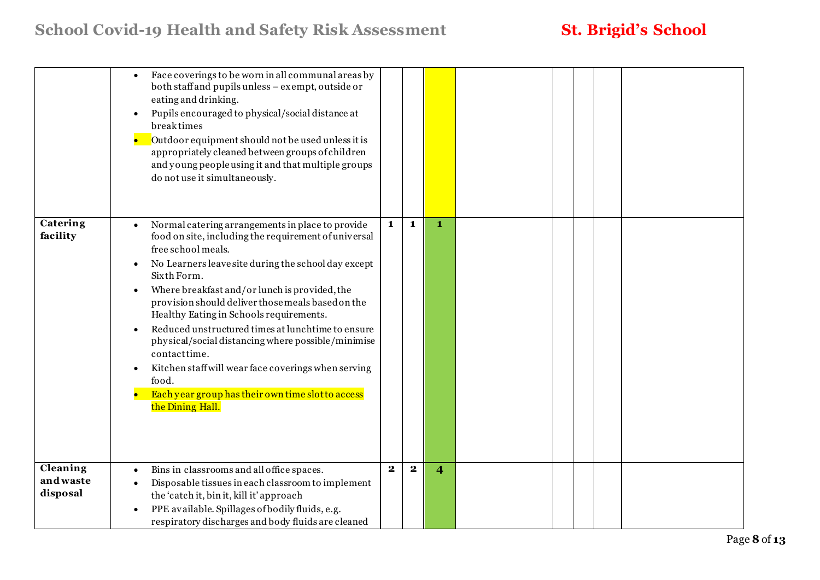|                                  | Face coverings to be worn in all communal areas by<br>$\bullet$<br>both staff and pupils unless - exempt, outside or<br>eating and drinking.<br>Pupils encouraged to physical/social distance at<br>$\bullet$<br>breaktimes<br>Outdoor equipment should not be used unless it is<br>appropriately cleaned between groups of children<br>and young peopleusing it and that multiple groups<br>do not use it simultaneously.                                                                                                                                                                                                                                                    |              |              |                         |  |  |  |
|----------------------------------|-------------------------------------------------------------------------------------------------------------------------------------------------------------------------------------------------------------------------------------------------------------------------------------------------------------------------------------------------------------------------------------------------------------------------------------------------------------------------------------------------------------------------------------------------------------------------------------------------------------------------------------------------------------------------------|--------------|--------------|-------------------------|--|--|--|
| Catering<br>facility             | Normal catering arrangements in place to provide<br>$\bullet$<br>food on site, including the requirement of universal<br>free school meals.<br>No Learners leave site during the school day except<br>$\bullet$<br>Sixth Form.<br>Where breakfast and/or lunch is provided, the<br>$\bullet$<br>provision should deliver those meals based on the<br>Healthy Eating in Schools requirements.<br>Reduced unstructured times at lunchtime to ensure<br>physical/social distancing where possible/minimise<br>contacttime.<br>Kitchen staff will wear face coverings when serving<br>$\bullet$<br>food.<br>Each year group has their own time slot to access<br>the Dining Hall. | $\mathbf{1}$ | $\mathbf{1}$ | $\mathbf{1}$            |  |  |  |
| Cleaning<br>andwaste<br>disposal | Bins in classrooms and all office spaces.<br>Disposable tissues in each classroom to implement<br>the 'catch it, bin it, kill it' approach<br>PPE available. Spillages of bodily fluids, e.g.<br>$\bullet$<br>respiratory discharges and body fluids are cleaned                                                                                                                                                                                                                                                                                                                                                                                                              | $\mathbf{2}$ | $\mathbf{2}$ | $\overline{\mathbf{4}}$ |  |  |  |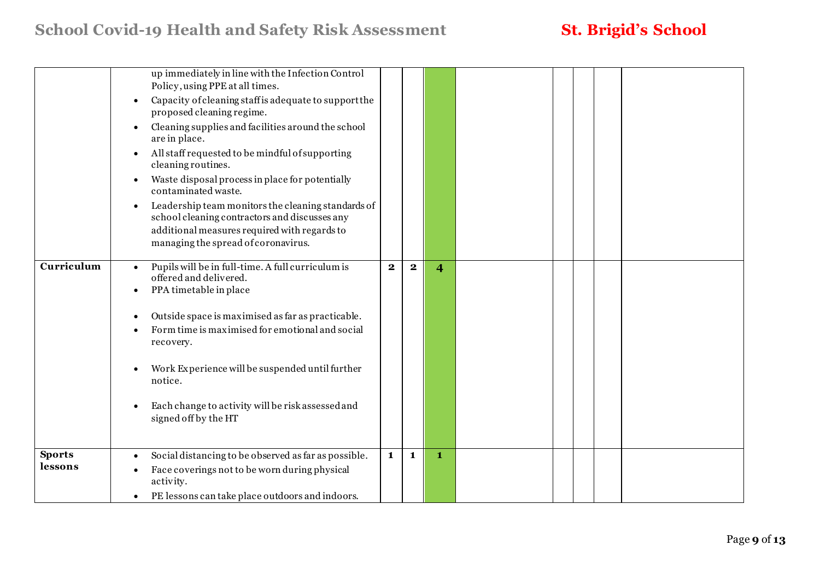|                          | up immediately in line with the Infection Control<br>Policy, using PPE at all times.<br>Capacity of cleaning staff is adequate to support the<br>proposed cleaning regime.<br>Cleaning supplies and facilities around the school<br>$\bullet$<br>are in place.<br>All staff requested to be mindful of supporting<br>$\bullet$<br>cleaning routines.<br>Waste disposal process in place for potentially<br>$\bullet$<br>contaminated waste.<br>Leadership team monitors the cleaning standards of<br>$\bullet$<br>school cleaning contractors and discusses any<br>additional measures required with regards to<br>managing the spread of coronavirus. |                         |              |                         |  |  |  |
|--------------------------|--------------------------------------------------------------------------------------------------------------------------------------------------------------------------------------------------------------------------------------------------------------------------------------------------------------------------------------------------------------------------------------------------------------------------------------------------------------------------------------------------------------------------------------------------------------------------------------------------------------------------------------------------------|-------------------------|--------------|-------------------------|--|--|--|
| Curriculum               | Pupils will be in full-time. A full curriculum is<br>$\bullet$<br>offered and delivered.<br>PPA timetable in place<br>Outside space is maximised as far as practicable.<br>Form time is maximised for emotional and social<br>recovery.<br>Work Experience will be suspended until further<br>notice.<br>Each change to activity will be risk assessed and<br>signed off by the HT                                                                                                                                                                                                                                                                     | $\overline{\mathbf{2}}$ | $\mathbf{2}$ | $\overline{\mathbf{4}}$ |  |  |  |
| <b>Sports</b><br>lessons | Social distancing to be observed as far as possible.<br>$\bullet$<br>Face coverings not to be worn during physical<br>activity.<br>PE lessons can take place outdoors and indoors.<br>$\bullet$                                                                                                                                                                                                                                                                                                                                                                                                                                                        | $\mathbf{1}$            | $\mathbf{1}$ | $\mathbf{1}$            |  |  |  |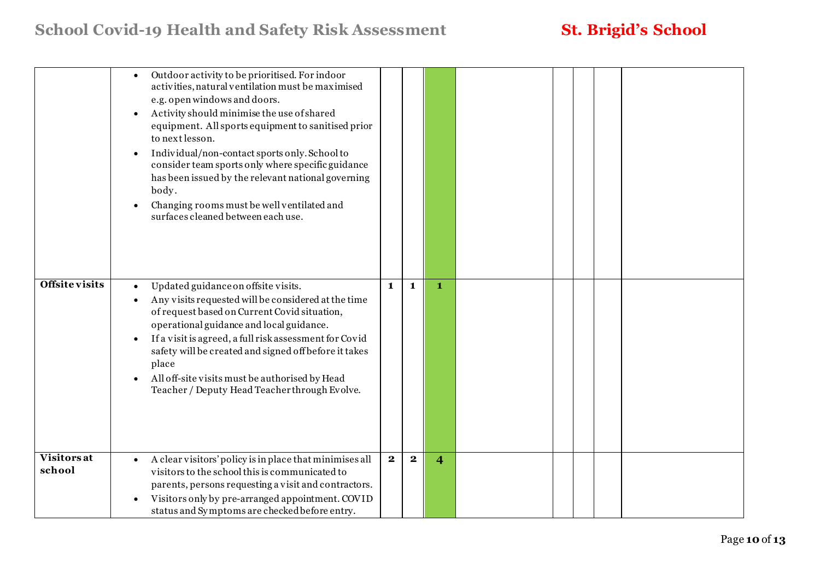|                       | Outdoor activity to be prioritised. For indoor<br>activities, natural ventilation must be maximised<br>e.g. open windows and doors.<br>Activity should minimise the use of shared<br>equipment. All sports equipment to sanitised prior<br>to next lesson.<br>Individual/non-contact sports only. School to<br>$\bullet$<br>consider team sports only where specific guidance<br>has been issued by the relevant national governing<br>body.<br>Changing rooms must be well ventilated and<br>surfaces cleaned between each use. |             |              |                         |  |  |  |
|-----------------------|----------------------------------------------------------------------------------------------------------------------------------------------------------------------------------------------------------------------------------------------------------------------------------------------------------------------------------------------------------------------------------------------------------------------------------------------------------------------------------------------------------------------------------|-------------|--------------|-------------------------|--|--|--|
| <b>Offsite visits</b> | Updated guidance on offsite visits.<br>Any visits requested will be considered at the time<br>of request based on Current Covid situation,<br>operational guidance and local guidance.<br>If a visit is agreed, a full risk assessment for Covid<br>$\bullet$<br>safety will be created and signed off before it takes<br>place<br>All off-site visits must be authorised by Head<br>$\bullet$<br>Teacher / Deputy Head Teacherthrough Evolve.                                                                                   | 1           | $\mathbf{1}$ | $\mathbf 1$             |  |  |  |
| Visitors at<br>school | A clear visitors' policy is in place that minimises all<br>$\bullet$<br>visitors to the school this is communicated to<br>parents, persons requesting a visit and contractors.<br>Visitors only by pre-arranged appointment. COVID<br>$\bullet$<br>status and Symptoms are checked before entry.                                                                                                                                                                                                                                 | $\mathbf 2$ | $\bf{2}$     | $\overline{\mathbf{4}}$ |  |  |  |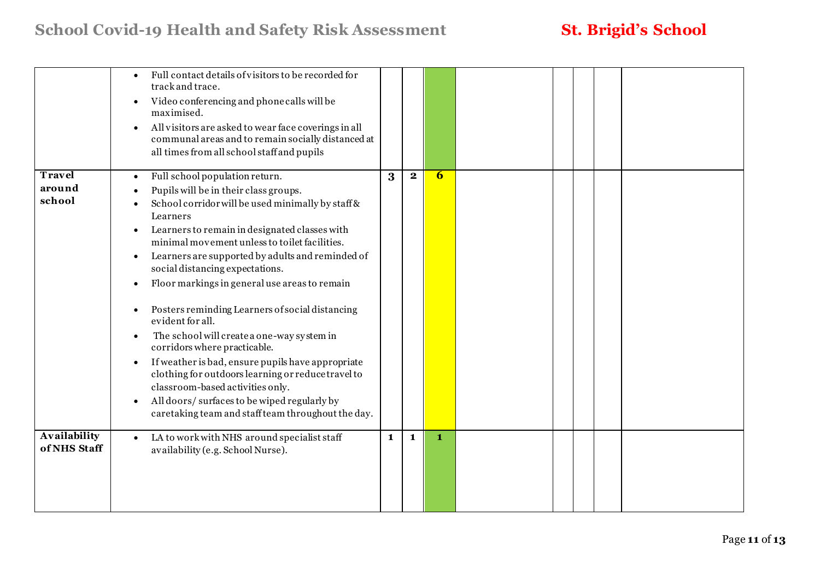## **School Covid-19 Health and Safety Risk Assessment St. Brigid's School**

|                     | Full contact details of visitors to be recorded for<br>track and trace.<br>Video conferencing and phone calls will be<br>$\bullet$<br>maximised.<br>All visitors are asked to wear face coverings in all<br>$\bullet$<br>communal areas and to remain socially distanced at<br>all times from all school staff and pupils |   |              |   |  |  |  |
|---------------------|---------------------------------------------------------------------------------------------------------------------------------------------------------------------------------------------------------------------------------------------------------------------------------------------------------------------------|---|--------------|---|--|--|--|
| Travel              | Full school population return.<br>$\bullet$                                                                                                                                                                                                                                                                               | 3 | $\mathbf{2}$ | 6 |  |  |  |
| around<br>school    | Pupils will be in their class groups.                                                                                                                                                                                                                                                                                     |   |              |   |  |  |  |
|                     | School corridor will be used minimally by staff &<br>Learners                                                                                                                                                                                                                                                             |   |              |   |  |  |  |
|                     | Learners to remain in designated classes with<br>$\bullet$                                                                                                                                                                                                                                                                |   |              |   |  |  |  |
|                     | minimal movement unless to toilet facilities.                                                                                                                                                                                                                                                                             |   |              |   |  |  |  |
|                     | Learners are supported by adults and reminded of<br>$\bullet$<br>social distancing expectations.                                                                                                                                                                                                                          |   |              |   |  |  |  |
|                     | Floor markings in general use areas to remain<br>$\bullet$                                                                                                                                                                                                                                                                |   |              |   |  |  |  |
|                     | Posters reminding Learners of social distancing<br>$\bullet$<br>evident for all.                                                                                                                                                                                                                                          |   |              |   |  |  |  |
|                     | The school will create a one-way system in<br>$\bullet$<br>corridors where practicable.                                                                                                                                                                                                                                   |   |              |   |  |  |  |
|                     | If weather is bad, ensure pupils have appropriate<br>$\bullet$<br>clothing for outdoors learning or reduce travel to<br>classroom-based activities only.                                                                                                                                                                  |   |              |   |  |  |  |
|                     | All doors/ surfaces to be wiped regularly by<br>caretaking team and staff team throughout the day.                                                                                                                                                                                                                        |   |              |   |  |  |  |
| <b>Availability</b> | LA to work with NHS around specialist staff<br>$\bullet$                                                                                                                                                                                                                                                                  | 1 | $\mathbf{1}$ | 1 |  |  |  |
| of NHS Staff        | availability (e.g. School Nurse).                                                                                                                                                                                                                                                                                         |   |              |   |  |  |  |
|                     |                                                                                                                                                                                                                                                                                                                           |   |              |   |  |  |  |
|                     |                                                                                                                                                                                                                                                                                                                           |   |              |   |  |  |  |
|                     |                                                                                                                                                                                                                                                                                                                           |   |              |   |  |  |  |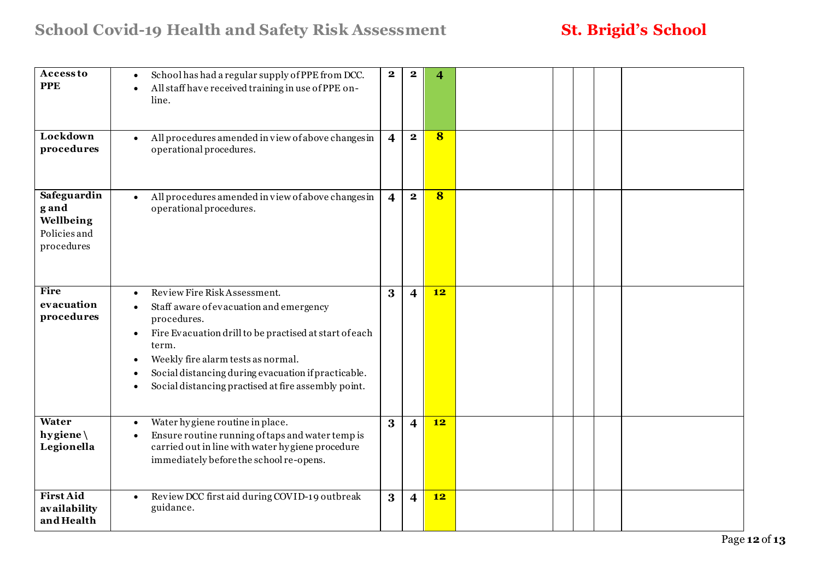| <b>Access to</b><br><b>PPE</b><br>Lockdown<br>procedures        | School has had a regular supply of PPE from DCC.<br>$\bullet$<br>All staff have received training in use of PPE on-<br>line.<br>All procedures amended in view of above changes in<br>operational procedures.                                                                                                                           | $\mathbf{2}$<br>$\overline{4}$ | $\bf{2}$<br>$\mathbf{2}$ | $\overline{\mathbf{4}}$<br>8 |  |  |  |
|-----------------------------------------------------------------|-----------------------------------------------------------------------------------------------------------------------------------------------------------------------------------------------------------------------------------------------------------------------------------------------------------------------------------------|--------------------------------|--------------------------|------------------------------|--|--|--|
| Safeguardin<br>g and<br>Wellbeing<br>Policies and<br>procedures | All procedures amended in view of above changes in<br>$\bullet$<br>operational procedures.                                                                                                                                                                                                                                              | $\overline{4}$                 | $\overline{\mathbf{2}}$  | $\overline{\mathbf{8}}$      |  |  |  |
| Fire<br>evacuation<br>procedures                                | Review Fire Risk Assessment.<br>$\bullet$<br>Staff aware of evacuation and emergency<br>procedures.<br>Fire Evacuation drill to be practised at start of each<br>$\bullet$<br>term.<br>Weekly fire alarm tests as normal.<br>Social distancing during evacuation if practicable.<br>Social distancing practised at fire assembly point. | 3                              | 4                        | 12                           |  |  |  |
| Water<br>hygiene \<br>Legionella                                | Water hygiene routine in place.<br>Ensure routine running of taps and water temp is<br>carried out in line with water hygiene procedure<br>immediately before the school re-opens.                                                                                                                                                      | 3                              | 4                        | 12                           |  |  |  |
| <b>First Aid</b><br>availability<br>and Health                  | Review DCC first aid during COVID-19 outbreak<br>$\bullet$<br>guidance.                                                                                                                                                                                                                                                                 | 3                              | $\overline{\mathbf{4}}$  | 12                           |  |  |  |